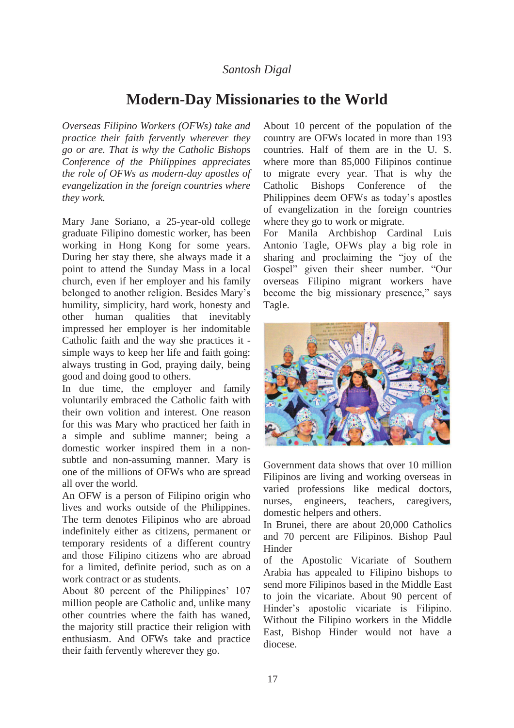# *Santosh Digal*

# **Modern-Day Missionaries to the World**

*Overseas Filipino Workers (OFWs) take and practice their faith fervently wherever they go or are. That is why the Catholic Bishops Conference of the Philippines appreciates the role of OFWs as modern-day apostles of evangelization in the foreign countries where they work.* 

Mary Jane Soriano, a 25-year-old college graduate Filipino domestic worker, has been working in Hong Kong for some years. During her stay there, she always made it a point to attend the Sunday Mass in a local church, even if her employer and his family belonged to another religion. Besides Mary's humility, simplicity, hard work, honesty and other human qualities that inevitably impressed her employer is her indomitable Catholic faith and the way she practices it simple ways to keep her life and faith going: always trusting in God, praying daily, being good and doing good to others.

In due time, the employer and family voluntarily embraced the Catholic faith with their own volition and interest. One reason for this was Mary who practiced her faith in a simple and sublime manner; being a domestic worker inspired them in a nonsubtle and non-assuming manner. Mary is one of the millions of OFWs who are spread all over the world.

An OFW is a person of Filipino origin who lives and works outside of the Philippines. The term denotes Filipinos who are abroad indefinitely either as citizens, permanent or temporary residents of a different country and those Filipino citizens who are abroad for a limited, definite period, such as on a work contract or as students.

About 80 percent of the Philippines' 107 million people are Catholic and, unlike many other countries where the faith has waned, the majority still practice their religion with enthusiasm. And OFWs take and practice their faith fervently wherever they go.

About 10 percent of the population of the country are OFWs located in more than 193 countries. Half of them are in the U. S. where more than 85,000 Filipinos continue to migrate every year. That is why the Catholic Bishops Conference of the Philippines deem OFWs as today's apostles of evangelization in the foreign countries where they go to work or migrate.

For Manila Archbishop Cardinal Luis Antonio Tagle, OFWs play a big role in sharing and proclaiming the "joy of the Gospel" given their sheer number. "Our overseas Filipino migrant workers have become the big missionary presence," says Tagle.



Government data shows that over 10 million Filipinos are living and working overseas in varied professions like medical doctors, nurses, engineers, teachers, caregivers, domestic helpers and others.

In Brunei, there are about 20,000 Catholics and 70 percent are Filipinos. Bishop Paul Hinder

of the Apostolic Vicariate of Southern Arabia has appealed to Filipino bishops to send more Filipinos based in the Middle East to join the vicariate. About 90 percent of Hinder's apostolic vicariate is Filipino. Without the Filipino workers in the Middle East, Bishop Hinder would not have a diocese.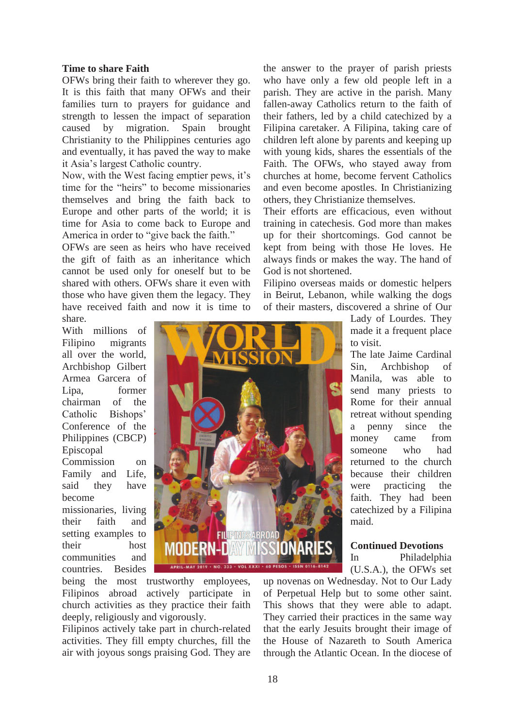### **Time to share Faith**

OFWs bring their faith to wherever they go. It is this faith that many OFWs and their families turn to prayers for guidance and strength to lessen the impact of separation caused by migration. Spain brought Christianity to the Philippines centuries ago and eventually, it has paved the way to make it Asia's largest Catholic country.

Now, with the West facing emptier pews, it's time for the "heirs" to become missionaries themselves and bring the faith back to Europe and other parts of the world; it is time for Asia to come back to Europe and America in order to "give back the faith."

OFWs are seen as heirs who have received the gift of faith as an inheritance which cannot be used only for oneself but to be shared with others. OFWs share it even with those who have given them the legacy. They have received faith and now it is time to share.

the answer to the prayer of parish priests who have only a few old people left in a parish. They are active in the parish. Many fallen-away Catholics return to the faith of their fathers, led by a child catechized by a Filipina caretaker. A Filipina, taking care of children left alone by parents and keeping up with young kids, shares the essentials of the Faith. The OFWs, who stayed away from churches at home, become fervent Catholics and even become apostles. In Christianizing others, they Christianize themselves.

Their efforts are efficacious, even without training in catechesis. God more than makes up for their shortcomings. God cannot be kept from being with those He loves. He always finds or makes the way. The hand of God is not shortened.

Filipino overseas maids or domestic helpers in Beirut, Lebanon, while walking the dogs of their masters, discovered a shrine of Our

With millions of Filipino migrants all over the world, Archbishop Gilbert Armea Garcera of Lipa, former chairman of the Catholic Bishops' Conference of the Philippines (CBCP) Episcopal Commission on Family and Life, said they have become missionaries, living

their faith and setting examples to their host communities and countries. Besides



being the most trustworthy employees, Filipinos abroad actively participate in church activities as they practice their faith deeply, religiously and vigorously.

Filipinos actively take part in church-related activities. They fill empty churches, fill the air with joyous songs praising God. They are Lady of Lourdes. They made it a frequent place to visit.

The late Jaime Cardinal Sin, Archbishop of Manila, was able to send many priests to Rome for their annual retreat without spending a penny since the money came from someone who had returned to the church because their children were practicing the faith. They had been catechized by a Filipina maid.

**Continued Devotions** 

In Philadelphia (U.S.A.), the OFWs set

up novenas on Wednesday. Not to Our Lady of Perpetual Help but to some other saint. This shows that they were able to adapt. They carried their practices in the same way that the early Jesuits brought their image of the House of Nazareth to South America through the Atlantic Ocean. In the diocese of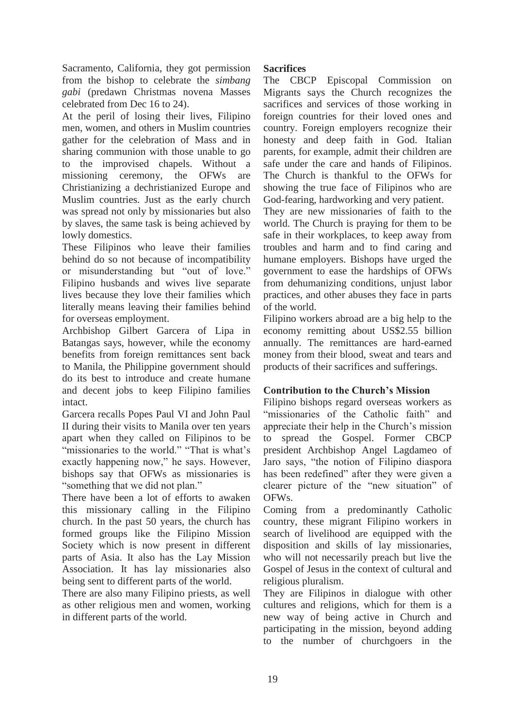Sacramento, California, they got permission from the bishop to celebrate the *simbang gabi* (predawn Christmas novena Masses celebrated from Dec 16 to 24).

At the peril of losing their lives, Filipino men, women, and others in Muslim countries gather for the celebration of Mass and in sharing communion with those unable to go to the improvised chapels. Without a missioning ceremony, the OFWs are Christianizing a dechristianized Europe and Muslim countries. Just as the early church was spread not only by missionaries but also by slaves, the same task is being achieved by lowly domestics.

These Filipinos who leave their families behind do so not because of incompatibility or misunderstanding but "out of love." Filipino husbands and wives live separate lives because they love their families which literally means leaving their families behind for overseas employment.

Archbishop Gilbert Garcera of Lipa in Batangas says, however, while the economy benefits from foreign remittances sent back to Manila, the Philippine government should do its best to introduce and create humane and decent jobs to keep Filipino families intact.

Garcera recalls Popes Paul VI and John Paul II during their visits to Manila over ten years apart when they called on Filipinos to be "missionaries to the world." "That is what's exactly happening now," he says. However, bishops say that OFWs as missionaries is "something that we did not plan."

There have been a lot of efforts to awaken this missionary calling in the Filipino church. In the past 50 years, the church has formed groups like the Filipino Mission Society which is now present in different parts of Asia. It also has the Lay Mission Association. It has lay missionaries also being sent to different parts of the world.

There are also many Filipino priests, as well as other religious men and women, working in different parts of the world.

## **Sacrifices**

The CBCP Episcopal Commission on Migrants says the Church recognizes the sacrifices and services of those working in foreign countries for their loved ones and country. Foreign employers recognize their honesty and deep faith in God. Italian parents, for example, admit their children are safe under the care and hands of Filipinos. The Church is thankful to the OFWs for showing the true face of Filipinos who are God-fearing, hardworking and very patient.

They are new missionaries of faith to the world. The Church is praying for them to be safe in their workplaces, to keep away from troubles and harm and to find caring and humane employers. Bishops have urged the government to ease the hardships of OFWs from dehumanizing conditions, unjust labor practices, and other abuses they face in parts of the world.

Filipino workers abroad are a big help to the economy remitting about US\$2.55 billion annually. The remittances are hard-earned money from their blood, sweat and tears and products of their sacrifices and sufferings.

## **Contribution to the Church's Mission**

Filipino bishops regard overseas workers as "missionaries of the Catholic faith" and appreciate their help in the Church's mission to spread the Gospel. Former CBCP president Archbishop Angel Lagdameo of Jaro says, "the notion of Filipino diaspora has been redefined" after they were given a clearer picture of the "new situation" of OFWs.

Coming from a predominantly Catholic country, these migrant Filipino workers in search of livelihood are equipped with the disposition and skills of lay missionaries, who will not necessarily preach but live the Gospel of Jesus in the context of cultural and religious pluralism.

They are Filipinos in dialogue with other cultures and religions, which for them is a new way of being active in Church and participating in the mission, beyond adding to the number of churchgoers in the